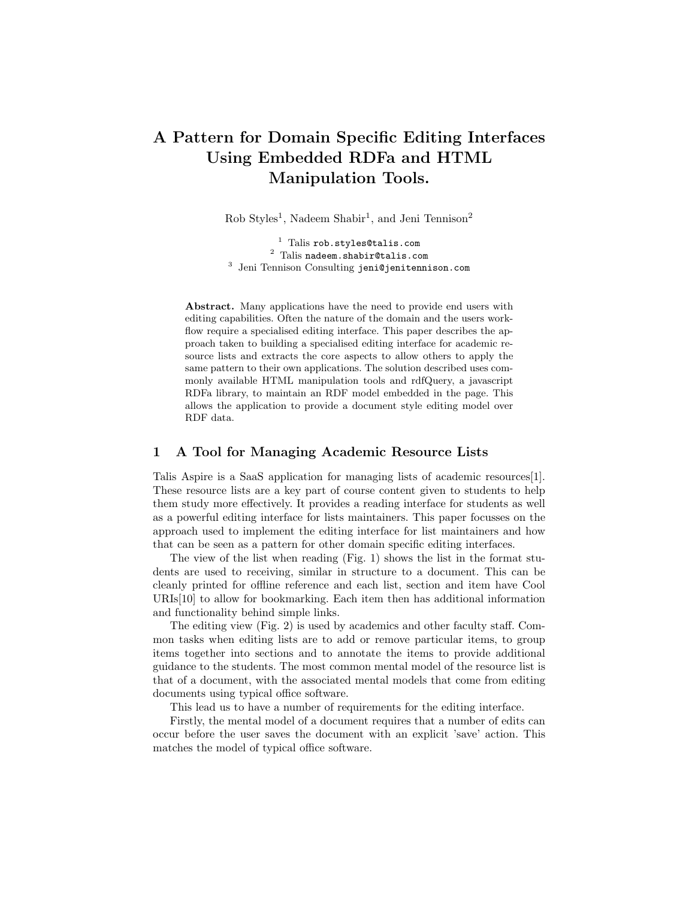# A Pattern for Domain Specific Editing Interfaces Using Embedded RDFa and HTML Manipulation Tools.

Rob Styles<sup>1</sup>, Nadeem Shabir<sup>1</sup>, and Jeni Tennison<sup>2</sup>

 $1$  Talis rob.styles@talis.com <sup>2</sup> Talis nadeem.shabir@talis.com 3 Jeni Tennison Consulting jeni@jenitennison.com

Abstract. Many applications have the need to provide end users with editing capabilities. Often the nature of the domain and the users workflow require a specialised editing interface. This paper describes the approach taken to building a specialised editing interface for academic resource lists and extracts the core aspects to allow others to apply the same pattern to their own applications. The solution described uses commonly available HTML manipulation tools and rdfQuery, a javascript RDFa library, to maintain an RDF model embedded in the page. This allows the application to provide a document style editing model over RDF data.

## 1 A Tool for Managing Academic Resource Lists

Talis Aspire is a SaaS application for managing lists of academic resources[1]. These resource lists are a key part of course content given to students to help them study more effectively. It provides a reading interface for students as well as a powerful editing interface for lists maintainers. This paper focusses on the approach used to implement the editing interface for list maintainers and how that can be seen as a pattern for other domain specific editing interfaces.

The view of the list when reading (Fig. 1) shows the list in the format students are used to receiving, similar in structure to a document. This can be cleanly printed for offline reference and each list, section and item have Cool URIs[10] to allow for bookmarking. Each item then has additional information and functionality behind simple links.

The editing view (Fig. 2) is used by academics and other faculty staff. Common tasks when editing lists are to add or remove particular items, to group items together into sections and to annotate the items to provide additional guidance to the students. The most common mental model of the resource list is that of a document, with the associated mental models that come from editing documents using typical office software.

This lead us to have a number of requirements for the editing interface.

Firstly, the mental model of a document requires that a number of edits can occur before the user saves the document with an explicit 'save' action. This matches the model of typical office software.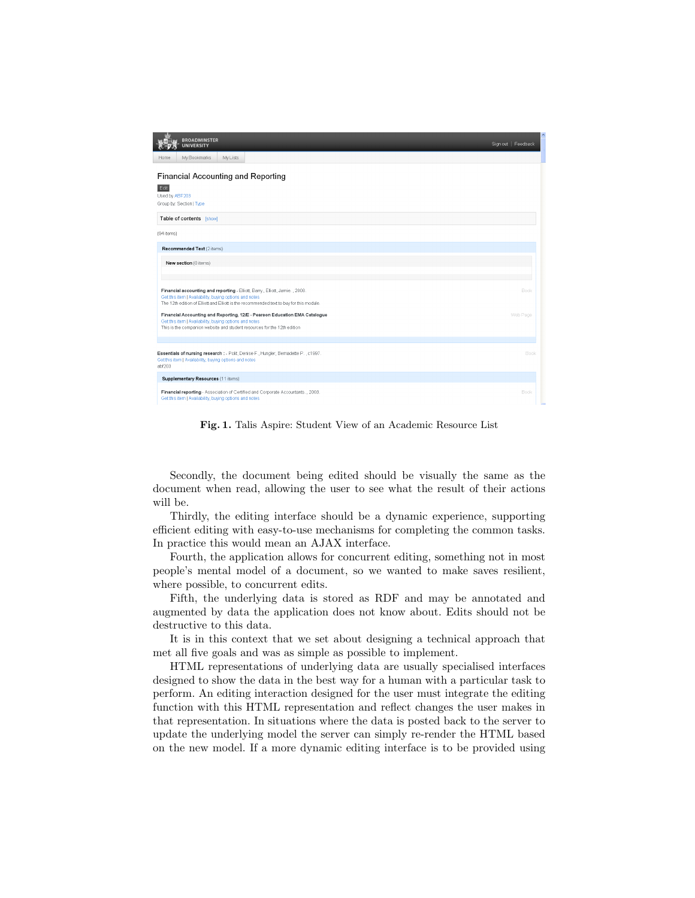| <b>BROADMINSTER</b><br><b>UNIVERSITY</b>                                                                                                                                                                                                                                                                           | Sign out   Feedback |
|--------------------------------------------------------------------------------------------------------------------------------------------------------------------------------------------------------------------------------------------------------------------------------------------------------------------|---------------------|
| My Lists<br>My Bookmarks<br>Home.                                                                                                                                                                                                                                                                                  |                     |
| <b>Financial Accounting and Reporting</b><br>Edit                                                                                                                                                                                                                                                                  |                     |
| Used by ABF203                                                                                                                                                                                                                                                                                                     |                     |
| Group by: Section   Type                                                                                                                                                                                                                                                                                           |                     |
| Table of contents [show]                                                                                                                                                                                                                                                                                           |                     |
| (94 items)                                                                                                                                                                                                                                                                                                         |                     |
| Recommended Text (2 items)                                                                                                                                                                                                                                                                                         |                     |
| New section (0 items)                                                                                                                                                                                                                                                                                              |                     |
|                                                                                                                                                                                                                                                                                                                    |                     |
| Financial accounting and reporting - Elliott, Barry., Elliott, Jamie., 2008.<br>Get this item   Availability, buying options and notes                                                                                                                                                                             | Book                |
| The 12th edition of Elliott and Elliott is the recommended text to buy for this module.                                                                                                                                                                                                                            |                     |
| Financial Accounting and Reporting, 12/E - Pearson Education EMA Catalogue<br>Get this item   Availability, buying options and notes<br>This is the companion website and student resources for the 12th edition                                                                                                   | Web Page            |
|                                                                                                                                                                                                                                                                                                                    |                     |
| Essentials of nursing research : - Polit, Denise F., Hungler, Bernadette P., c1997.<br>Get this item   Availability, buying options and notes<br>abf203                                                                                                                                                            | Book                |
| Supplementary Resources (11 items)                                                                                                                                                                                                                                                                                 |                     |
| Financial reporting - Association of Certified and Corporate Accountants., 2003.<br>A capacità incorporation di la contrata della contrata della contrata della contrata della contrata della contrata della contrata della contrata della contrata della contrata della contrata della contrata della contrata de | Book                |

Fig. 1. Talis Aspire: Student View of an Academic Resource List

Secondly, the document being edited should be visually the same as the document when read, allowing the user to see what the result of their actions will be.

Thirdly, the editing interface should be a dynamic experience, supporting efficient editing with easy-to-use mechanisms for completing the common tasks. In practice this would mean an AJAX interface.

Fourth, the application allows for concurrent editing, something not in most people's mental model of a document, so we wanted to make saves resilient, where possible, to concurrent edits.

Fifth, the underlying data is stored as RDF and may be annotated and augmented by data the application does not know about. Edits should not be destructive to this data.

It is in this context that we set about designing a technical approach that met all five goals and was as simple as possible to implement.

HTML representations of underlying data are usually specialised interfaces designed to show the data in the best way for a human with a particular task to perform. An editing interaction designed for the user must integrate the editing function with this HTML representation and reflect changes the user makes in that representation. In situations where the data is posted back to the server to update the underlying model the server can simply re-render the HTML based on the new model. If a more dynamic editing interface is to be provided using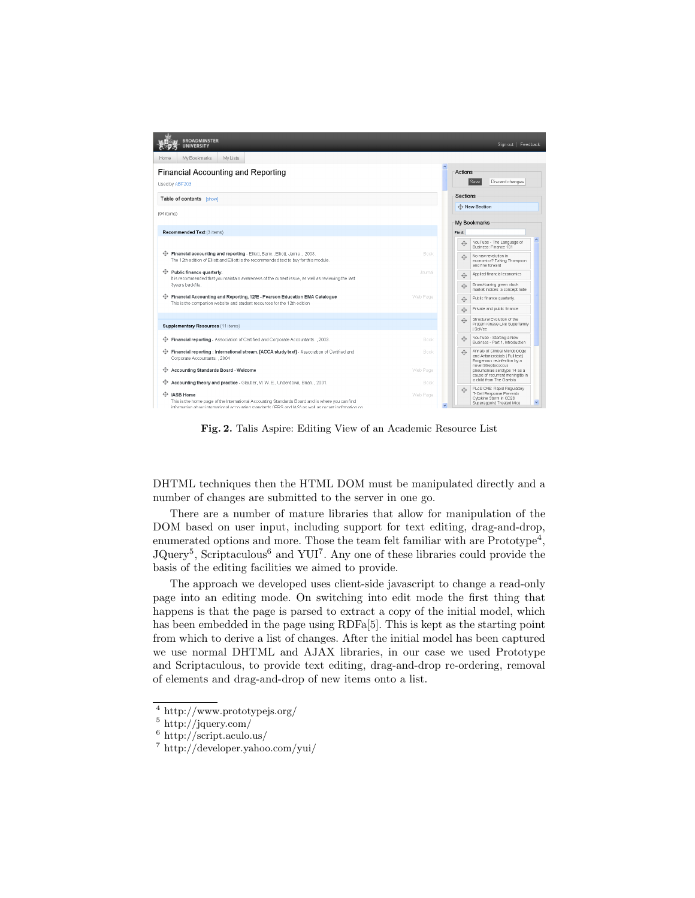| <b>BROADMINSTER</b><br><b>UNIVERSITY</b>                                                                                                                                                                  |                  |                   | Sign out   Feedback                                                                                               |
|-----------------------------------------------------------------------------------------------------------------------------------------------------------------------------------------------------------|------------------|-------------------|-------------------------------------------------------------------------------------------------------------------|
| My Bookmarks<br>My Lists<br>Home.                                                                                                                                                                         |                  |                   |                                                                                                                   |
| <b>Financial Accounting and Reporting</b><br>Used by ABF203                                                                                                                                               |                  | Actions           | Save<br>Discard changes                                                                                           |
| Table of contents [show]                                                                                                                                                                                  |                  | <b>Sections</b>   |                                                                                                                   |
| (94 items)                                                                                                                                                                                                |                  |                   | ← New Section                                                                                                     |
|                                                                                                                                                                                                           |                  | My Bookmarks      |                                                                                                                   |
| Recommended Text (3 items)                                                                                                                                                                                |                  | Find:             |                                                                                                                   |
|                                                                                                                                                                                                           |                  |                   | YouTube - The Language of<br>Business: Finance 101                                                                |
| Financial accounting and reporting - Elliott, Barry., Elliott, Jamie., 2008.<br>The 12th edition of Elliott and Elliott is the recommended text to buy for this module.                                   | Book             | ↛                 | No new revolution in<br>economics? Taking Thompson<br>and fine forward                                            |
| $\Leftrightarrow$ Public finance quarterly.<br>It is recommended that you maintain awareness of the current issue, as well as reviewing the last                                                          | Journal          | ⊕                 | Applied financial economics                                                                                       |
| 3vears backfile.                                                                                                                                                                                          |                  | $\oplus$          | Broad-basing green stock<br>market indices: a concept note                                                        |
| Financial Accounting and Reporting, 12/E - Pearson Education EMA Catalogue<br>This is the companion website and student resources for the 12th edition                                                    | Web Page         | $\oplus$          | Public finance quarterly.                                                                                         |
|                                                                                                                                                                                                           |                  | $\oplus$          | Private and public finance                                                                                        |
| Supplementary Resources (11 items)                                                                                                                                                                        |                  | ↛                 | Structural Evolution of the<br>Protein Kinase-Like Superfamily<br>I SciVee                                        |
| Financial reporting - Association of Certified and Corporate Accountants 2003.                                                                                                                            | Book             | $\Leftrightarrow$ | YouTube - Starting a New<br>Business - Part 1, Introduction                                                       |
| $\bigoplus$ Financial reporting : International stream. [ACCA study text] - Association of Certified and<br>Corporate Accountants. 2004                                                                   | Book             | $\Leftrightarrow$ | Annals of Clinical Microbiology<br>and Antimicrobials   Full text  <br>Exogenous re-infection by a                |
| ← Accounting Standards Board - Welcome                                                                                                                                                                    | Web Page         |                   | novel Streptococcus<br>pneumoniae serotype 14 as a<br>cause of recurrent meningitis in<br>a child from The Gambia |
| Accounting theory and practice - Glautier, M. W. E., Underdown, Brian., 2001.<br>⊕<br><b>IASB Home</b><br>This is the home page of the International Accounting Standards Board and is where you can find | Book<br>Web Page |                   | PLoS ONE: Rapid Regulatory<br>T-Cell Response Prevents<br>Cytokine Storm in CD28<br>$\checkmark$                  |
| information about international accounting standards (IERS and IAS) as well as recent inofrmation on                                                                                                      |                  |                   | Superagonist Treated Mice                                                                                         |

Fig. 2. Talis Aspire: Editing View of an Academic Resource List

DHTML techniques then the HTML DOM must be manipulated directly and a number of changes are submitted to the server in one go.

There are a number of mature libraries that allow for manipulation of the DOM based on user input, including support for text editing, drag-and-drop, enumerated options and more. Those the team felt familiar with are  $Prototype<sup>4</sup>$ , JQuery<sup>5</sup>, Scriptaculous<sup>6</sup> and YUI<sup>7</sup>. Any one of these libraries could provide the basis of the editing facilities we aimed to provide.

The approach we developed uses client-side javascript to change a read-only page into an editing mode. On switching into edit mode the first thing that happens is that the page is parsed to extract a copy of the initial model, which has been embedded in the page using RDFa[5]. This is kept as the starting point from which to derive a list of changes. After the initial model has been captured we use normal DHTML and AJAX libraries, in our case we used Prototype and Scriptaculous, to provide text editing, drag-and-drop re-ordering, removal of elements and drag-and-drop of new items onto a list.

<sup>4</sup> http://www.prototypejs.org/

 $5 \text{ http://jquery.com/}$ 

<sup>6</sup> http://script.aculo.us/

<sup>7</sup> http://developer.yahoo.com/yui/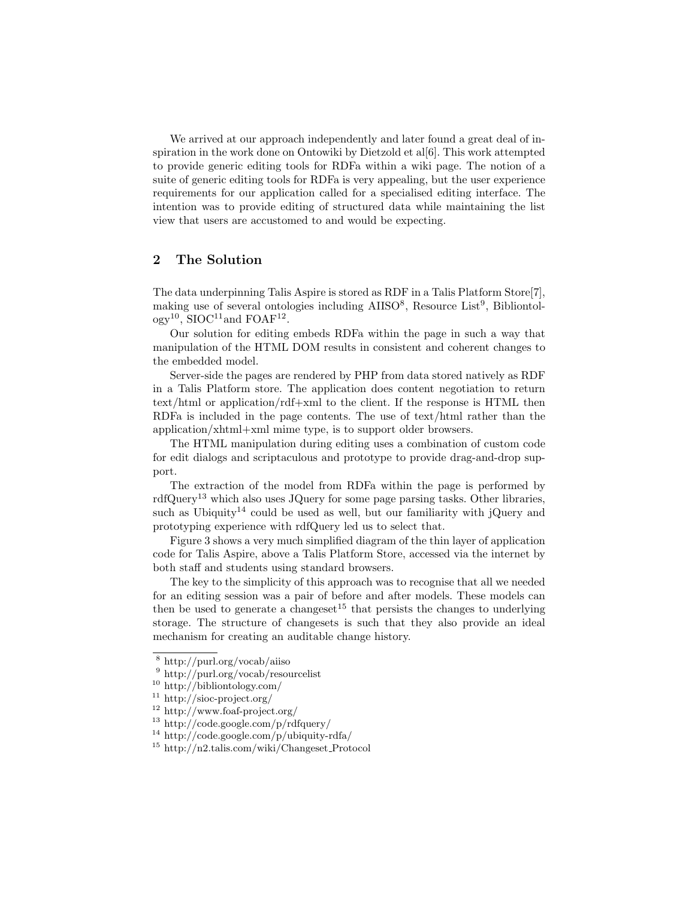We arrived at our approach independently and later found a great deal of inspiration in the work done on Ontowiki by Dietzold et al[6]. This work attempted to provide generic editing tools for RDFa within a wiki page. The notion of a suite of generic editing tools for RDFa is very appealing, but the user experience requirements for our application called for a specialised editing interface. The intention was to provide editing of structured data while maintaining the list view that users are accustomed to and would be expecting.

## 2 The Solution

The data underpinning Talis Aspire is stored as RDF in a Talis Platform Store[7], making use of several ontologies including AIISO<sup>8</sup>, Resource List<sup>9</sup>, Bibliontol- $\log y^{10}$ , SIOC<sup>11</sup> and FOAF<sup>12</sup>.

Our solution for editing embeds RDFa within the page in such a way that manipulation of the HTML DOM results in consistent and coherent changes to the embedded model.

Server-side the pages are rendered by PHP from data stored natively as RDF in a Talis Platform store. The application does content negotiation to return text/html or application/rdf+xml to the client. If the response is HTML then RDFa is included in the page contents. The use of text/html rather than the application/xhtml+xml mime type, is to support older browsers.

The HTML manipulation during editing uses a combination of custom code for edit dialogs and scriptaculous and prototype to provide drag-and-drop support.

The extraction of the model from RDFa within the page is performed by  $\text{rdfQuery}^{13}$  which also uses JQuery for some page parsing tasks. Other libraries, such as Ubiquity<sup>14</sup> could be used as well, but our familiarity with jQuery and prototyping experience with rdfQuery led us to select that.

Figure 3 shows a very much simplified diagram of the thin layer of application code for Talis Aspire, above a Talis Platform Store, accessed via the internet by both staff and students using standard browsers.

The key to the simplicity of this approach was to recognise that all we needed for an editing session was a pair of before and after models. These models can then be used to generate a changeset<sup>15</sup> that persists the changes to underlying storage. The structure of changesets is such that they also provide an ideal mechanism for creating an auditable change history.

<sup>8</sup> http://purl.org/vocab/aiiso

http://purl.org/vocab/resourcelist

<sup>10</sup> http://bibliontology.com/

<sup>11</sup> http://sioc-project.org/

<sup>12</sup> http://www.foaf-project.org/

<sup>13</sup> http://code.google.com/p/rdfquery/

<sup>14</sup> http://code.google.com/p/ubiquity-rdfa/

<sup>15</sup> http://n2.talis.com/wiki/Changeset Protocol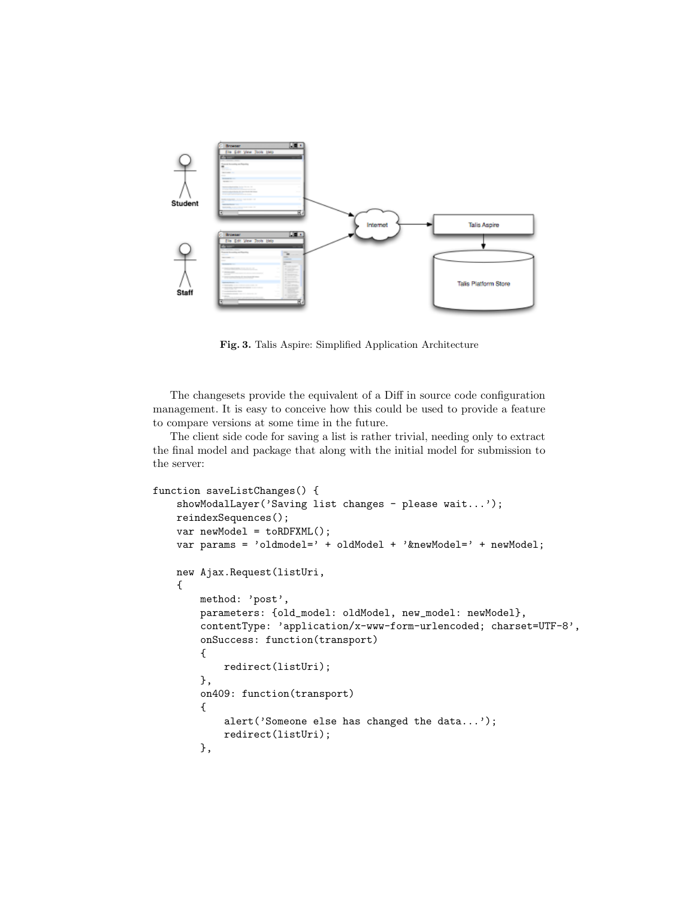

Fig. 3. Talis Aspire: Simplified Application Architecture

The changesets provide the equivalent of a Diff in source code configuration management. It is easy to conceive how this could be used to provide a feature to compare versions at some time in the future.

The client side code for saving a list is rather trivial, needing only to extract the final model and package that along with the initial model for submission to the server:

```
function saveListChanges() {
    showModalLayer('Saving list changes - please wait...');
   reindexSequences();
    var newModel = toRDFXML();
   var params = 'oldmodel=' + oldModel + '&newModel=' + newModel;
   new Ajax.Request(listUri,
    {
        method: 'post',
        parameters: {old_model: oldModel, new_model: newModel},
        contentType: 'application/x-www-form-urlencoded; charset=UTF-8
        onSuccess: function(transport)
        {
            redirect(listUri);
        },
        on409: function(transport)
        {
            alert('Someone else has changed the data...');
            redirect(listUri);
        },
```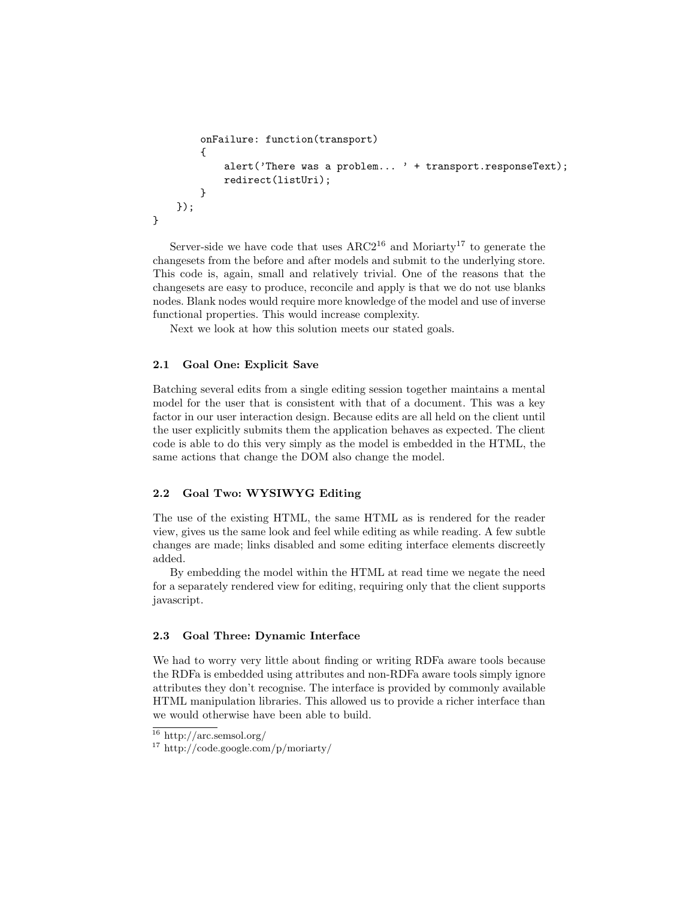```
onFailure: function(transport)
    {
        alert('There was a problem... ' + transport.responseText);
        redirect(listUri);
    }
});
```
Server-side we have code that uses  $ARC2^{16}$  and Moriarty<sup>17</sup> to generate the changesets from the before and after models and submit to the underlying store. This code is, again, small and relatively trivial. One of the reasons that the changesets are easy to produce, reconcile and apply is that we do not use blanks nodes. Blank nodes would require more knowledge of the model and use of inverse functional properties. This would increase complexity.

Next we look at how this solution meets our stated goals.

## 2.1 Goal One: Explicit Save

}

Batching several edits from a single editing session together maintains a mental model for the user that is consistent with that of a document. This was a key factor in our user interaction design. Because edits are all held on the client until the user explicitly submits them the application behaves as expected. The client code is able to do this very simply as the model is embedded in the HTML, the same actions that change the DOM also change the model.

# 2.2 Goal Two: WYSIWYG Editing

The use of the existing HTML, the same HTML as is rendered for the reader view, gives us the same look and feel while editing as while reading. A few subtle changes are made; links disabled and some editing interface elements discreetly added.

By embedding the model within the HTML at read time we negate the need for a separately rendered view for editing, requiring only that the client supports javascript.

#### 2.3 Goal Three: Dynamic Interface

We had to worry very little about finding or writing RDFa aware tools because the RDFa is embedded using attributes and non-RDFa aware tools simply ignore attributes they don't recognise. The interface is provided by commonly available HTML manipulation libraries. This allowed us to provide a richer interface than we would otherwise have been able to build.

 $^{16}$ http://arc.semsol.org/  $\,$ 

<sup>17</sup> http://code.google.com/p/moriarty/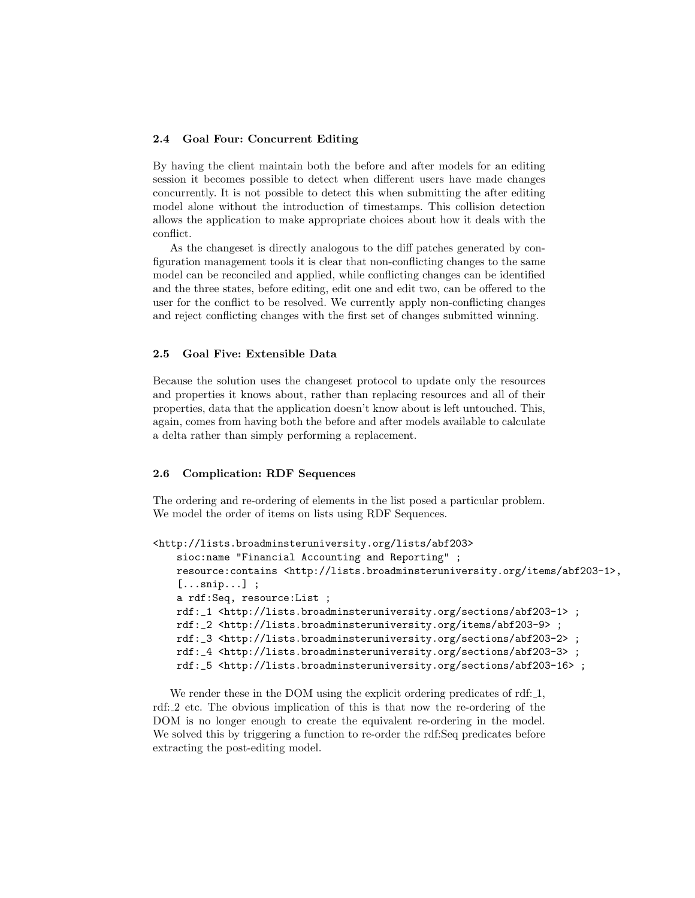## 2.4 Goal Four: Concurrent Editing

By having the client maintain both the before and after models for an editing session it becomes possible to detect when different users have made changes concurrently. It is not possible to detect this when submitting the after editing model alone without the introduction of timestamps. This collision detection allows the application to make appropriate choices about how it deals with the conflict.

As the changeset is directly analogous to the diff patches generated by configuration management tools it is clear that non-conflicting changes to the same model can be reconciled and applied, while conflicting changes can be identified and the three states, before editing, edit one and edit two, can be offered to the user for the conflict to be resolved. We currently apply non-conflicting changes and reject conflicting changes with the first set of changes submitted winning.

# 2.5 Goal Five: Extensible Data

Because the solution uses the changeset protocol to update only the resources and properties it knows about, rather than replacing resources and all of their properties, data that the application doesn't know about is left untouched. This, again, comes from having both the before and after models available to calculate a delta rather than simply performing a replacement.

# 2.6 Complication: RDF Sequences

The ordering and re-ordering of elements in the list posed a particular problem. We model the order of items on lists using RDF Sequences.

```
<http://lists.broadminsteruniversity.org/lists/abf203>
   sioc:name "Financial Accounting and Reporting" ;
   resource:contains <http://lists.broadminsteruniversity.org/items/a
    [...snip...] ;
   a rdf:Seq, resource:List ;
   rdf:_1 <http://lists.broadminsteruniversity.org/sections/abf203-1> ;
   rdf:_2 <http://lists.broadminsteruniversity.org/items/abf203-9> ;
   rdf: _3 <http://lists.broadminsteruniversity.org/sections/abf203-2>
   rdf:_4 <http://lists.broadminsteruniversity.org/sections/abf203-3> ;
   rdf: 5 <http://lists.broadminsteruniversity.org/sections/abf203-16
```
We render these in the DOM using the explicit ordering predicates of rdf: 1, rdf: 2 etc. The obvious implication of this is that now the re-ordering of the DOM is no longer enough to create the equivalent re-ordering in the model. We solved this by triggering a function to re-order the rdf:Seq predicates before extracting the post-editing model.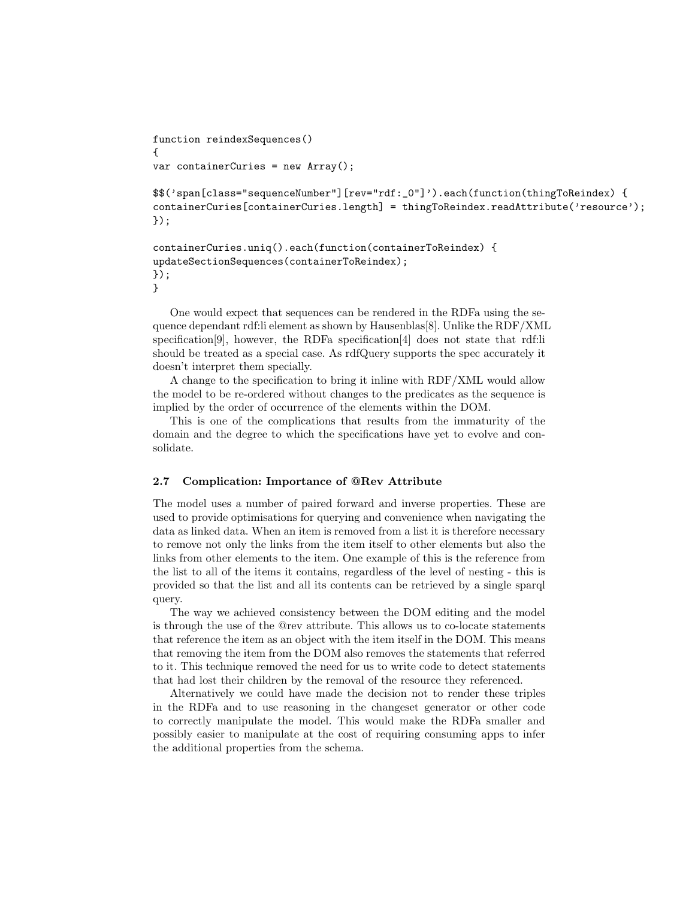```
function reindexSequences()
{
var containerCuries = new Array();$$('span[class="sequenceNumber"][rev="rdf:_0"]').each(function(thingTo
\text{contains} containerCuries [containerCuries.length] = thingToReindex.readAttribute
});
containerCuries.uniq().each(function(containerToReindex) {
updateSectionSequences(containerToReindex);
});
```
}

One would expect that sequences can be rendered in the RDFa using the sequence dependant rdf:li element as shown by Hausenblas[8]. Unlike the RDF/XML specification[9], however, the RDFa specification[4] does not state that rdf:li should be treated as a special case. As rdfQuery supports the spec accurately it doesn't interpret them specially.

A change to the specification to bring it inline with RDF/XML would allow the model to be re-ordered without changes to the predicates as the sequence is implied by the order of occurrence of the elements within the DOM.

This is one of the complications that results from the immaturity of the domain and the degree to which the specifications have yet to evolve and consolidate.

#### 2.7 Complication: Importance of @Rev Attribute

The model uses a number of paired forward and inverse properties. These are used to provide optimisations for querying and convenience when navigating the data as linked data. When an item is removed from a list it is therefore necessary to remove not only the links from the item itself to other elements but also the links from other elements to the item. One example of this is the reference from the list to all of the items it contains, regardless of the level of nesting - this is provided so that the list and all its contents can be retrieved by a single sparql query.

The way we achieved consistency between the DOM editing and the model is through the use of the @rev attribute. This allows us to co-locate statements that reference the item as an object with the item itself in the DOM. This means that removing the item from the DOM also removes the statements that referred to it. This technique removed the need for us to write code to detect statements that had lost their children by the removal of the resource they referenced.

Alternatively we could have made the decision not to render these triples in the RDFa and to use reasoning in the changeset generator or other code to correctly manipulate the model. This would make the RDFa smaller and possibly easier to manipulate at the cost of requiring consuming apps to infer the additional properties from the schema.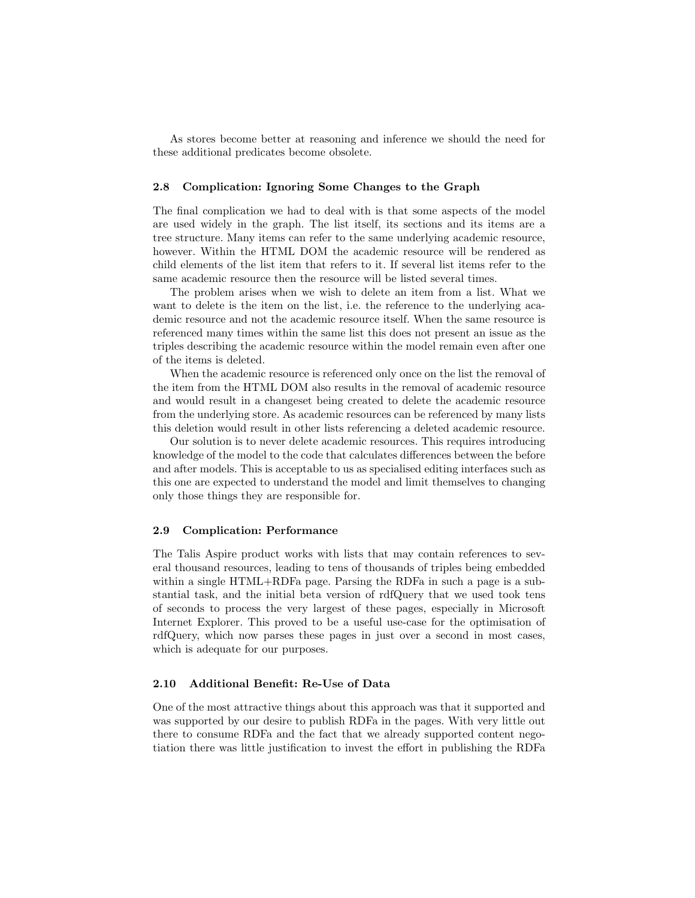As stores become better at reasoning and inference we should the need for these additional predicates become obsolete.

#### 2.8 Complication: Ignoring Some Changes to the Graph

The final complication we had to deal with is that some aspects of the model are used widely in the graph. The list itself, its sections and its items are a tree structure. Many items can refer to the same underlying academic resource, however. Within the HTML DOM the academic resource will be rendered as child elements of the list item that refers to it. If several list items refer to the same academic resource then the resource will be listed several times.

The problem arises when we wish to delete an item from a list. What we want to delete is the item on the list, i.e. the reference to the underlying academic resource and not the academic resource itself. When the same resource is referenced many times within the same list this does not present an issue as the triples describing the academic resource within the model remain even after one of the items is deleted.

When the academic resource is referenced only once on the list the removal of the item from the HTML DOM also results in the removal of academic resource and would result in a changeset being created to delete the academic resource from the underlying store. As academic resources can be referenced by many lists this deletion would result in other lists referencing a deleted academic resource.

Our solution is to never delete academic resources. This requires introducing knowledge of the model to the code that calculates differences between the before and after models. This is acceptable to us as specialised editing interfaces such as this one are expected to understand the model and limit themselves to changing only those things they are responsible for.

#### 2.9 Complication: Performance

The Talis Aspire product works with lists that may contain references to several thousand resources, leading to tens of thousands of triples being embedded within a single HTML+RDFa page. Parsing the RDFa in such a page is a substantial task, and the initial beta version of rdfQuery that we used took tens of seconds to process the very largest of these pages, especially in Microsoft Internet Explorer. This proved to be a useful use-case for the optimisation of rdfQuery, which now parses these pages in just over a second in most cases, which is adequate for our purposes.

#### 2.10 Additional Benefit: Re-Use of Data

One of the most attractive things about this approach was that it supported and was supported by our desire to publish RDFa in the pages. With very little out there to consume RDFa and the fact that we already supported content negotiation there was little justification to invest the effort in publishing the RDFa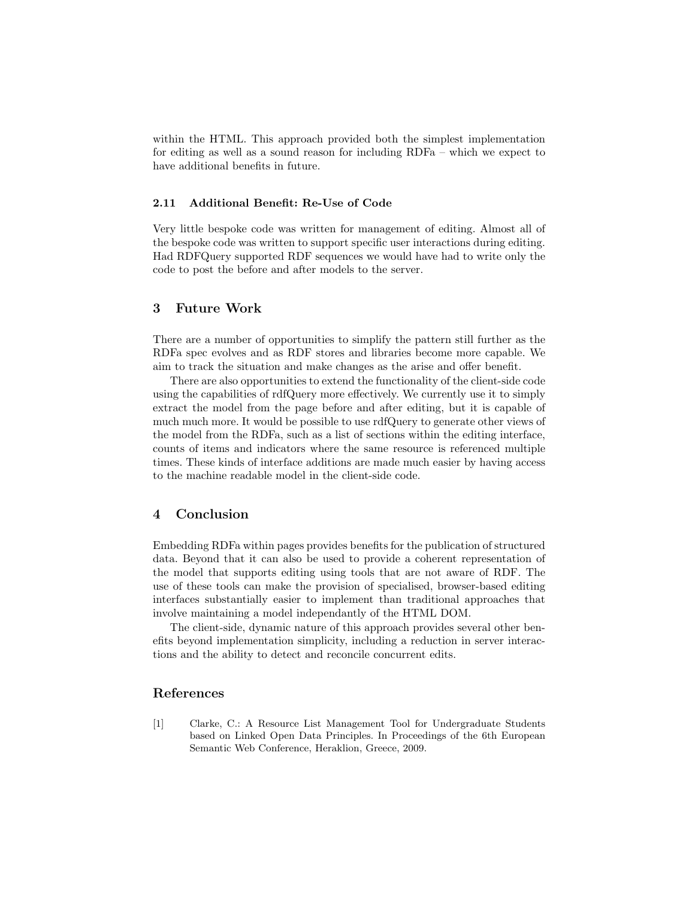within the HTML. This approach provided both the simplest implementation for editing as well as a sound reason for including RDFa – which we expect to have additional benefits in future.

#### 2.11 Additional Benefit: Re-Use of Code

Very little bespoke code was written for management of editing. Almost all of the bespoke code was written to support specific user interactions during editing. Had RDFQuery supported RDF sequences we would have had to write only the code to post the before and after models to the server.

# 3 Future Work

There are a number of opportunities to simplify the pattern still further as the RDFa spec evolves and as RDF stores and libraries become more capable. We aim to track the situation and make changes as the arise and offer benefit.

There are also opportunities to extend the functionality of the client-side code using the capabilities of rdfQuery more effectively. We currently use it to simply extract the model from the page before and after editing, but it is capable of much much more. It would be possible to use rdfQuery to generate other views of the model from the RDFa, such as a list of sections within the editing interface, counts of items and indicators where the same resource is referenced multiple times. These kinds of interface additions are made much easier by having access to the machine readable model in the client-side code.

# 4 Conclusion

Embedding RDFa within pages provides benefits for the publication of structured data. Beyond that it can also be used to provide a coherent representation of the model that supports editing using tools that are not aware of RDF. The use of these tools can make the provision of specialised, browser-based editing interfaces substantially easier to implement than traditional approaches that involve maintaining a model independantly of the HTML DOM.

The client-side, dynamic nature of this approach provides several other benefits beyond implementation simplicity, including a reduction in server interactions and the ability to detect and reconcile concurrent edits.

# References

[1] Clarke, C.: A Resource List Management Tool for Undergraduate Students based on Linked Open Data Principles. In Proceedings of the 6th European Semantic Web Conference, Heraklion, Greece, 2009.